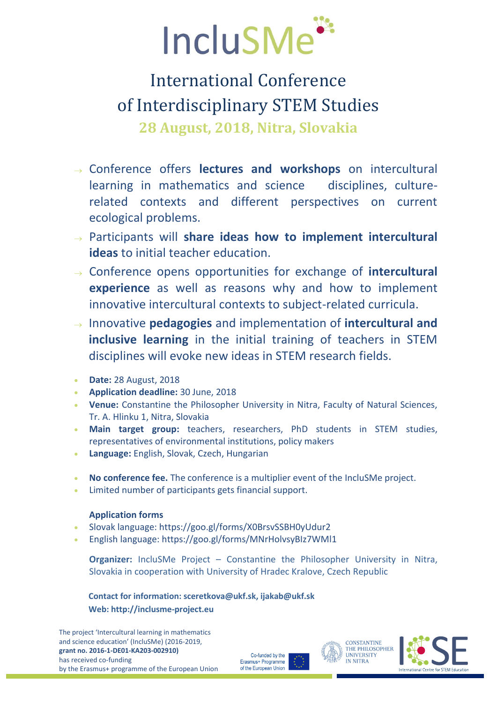

# International Conference of Interdisciplinary STEM Studies **28 August, 2018, Nitra, Slovakia**

- Conference offers **lectures and workshops** on intercultural learning in mathematics and science disciplines, culturerelated contexts and different perspectives on current ecological problems.
- Participants will **share ideas how to implement intercultural ideas** to initial teacher education.
- Conference opens opportunities for exchange of **intercultural experience** as well as reasons why and how to implement innovative intercultural contexts to subject-related curricula.
- Innovative **pedagogies** and implementation of **intercultural and inclusive learning** in the initial training of teachers in STEM disciplines will evoke new ideas in STEM research fields.
- **Date:** 28 August, 2018
- **Application deadline:** 30 June, 2018
- **Venue:** Constantine the Philosopher University in Nitra, Faculty of Natural Sciences, Tr. A. Hlinku 1, Nitra, Slovakia
- **Main target group:** teachers, researchers, PhD students in STEM studies, representatives of environmental institutions, policy makers
- **Language:** English, Slovak, Czech, Hungarian
- **No conference fee.** The conference is a multiplier event of the IncluSMe project.
- Limited number of participants gets financial support.

#### **Application forms**

- Slovak language: https://goo.gl/forms/X0BrsvSSBH0yUdur2
- English language: https://goo.gl/forms/MNrHolvsyBIz7WMl1

**Organizer:** IncluSMe Project – Constantine the Philosopher University in Nitra, Slovakia in cooperation with University of Hradec Kralove, Czech Republic

**Contact for information: sceretkova@ukf.sk, ijakab@ukf.sk Web: http://inclusme-project.eu**

The project 'Intercultural learning in mathematics and science education' (IncluSMe) (2016-2019, **grant no. 2016-1-DE01-KA203-002910)**  has received co-funding by the Erasmus+ programme of the European Union

Co-funded by the Erasmus+ Programme of the European Union



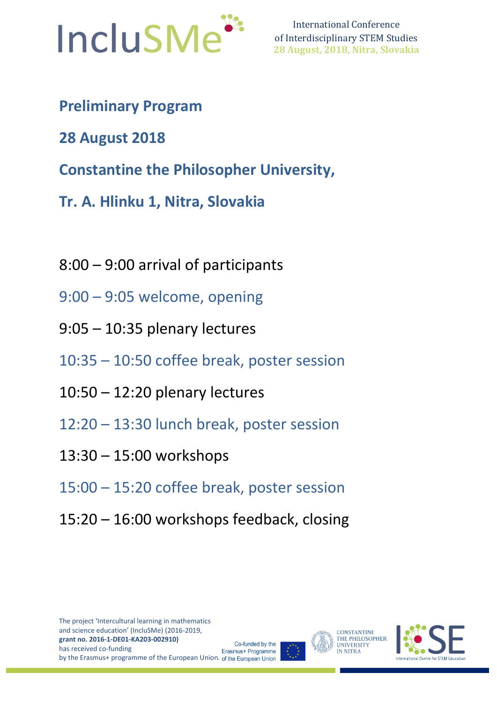

International Conference of Interdisciplinary STEM Studies **28 August, 2018, Nitra, Slovakia**

- **Preliminary Program**
- **28 August 2018**
- **Constantine the Philosopher University,**
- **Tr. A. Hlinku 1, Nitra, Slovakia**
- 8:00 9:00 arrival of participants
- 9:00 9:05 welcome, opening
- 9:05 10:35 plenary lectures
- 10:35 10:50 coffee break, poster session
- 10:50 12:20 plenary lectures
- 12:20 13:30 lunch break, poster session
- 13:30 15:00 workshops
- 15:00 15:20 coffee break, poster session
- 15:20 16:00 workshops feedback, closing



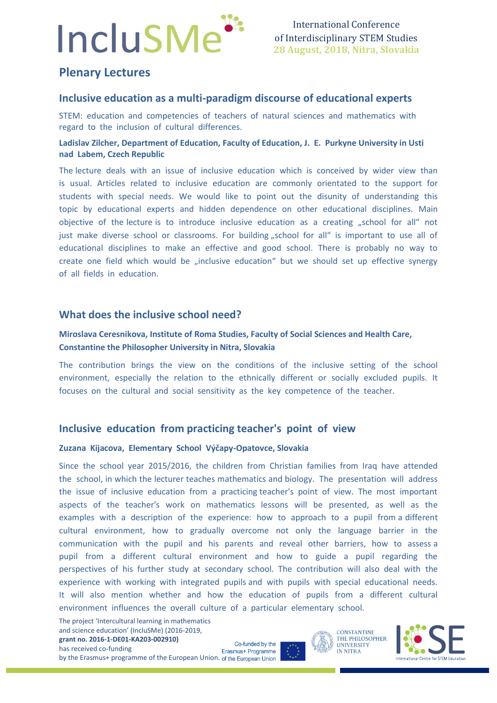# **IncluSMe**

## **Plenary Lectures**

#### **Inclusive education as a multi-paradigm discourse of educational experts**

STEM: education and competencies of teachers of natural sciences and mathematics with regard to the inclusion of cultural differences.

#### **Ladislav Zilcher, Department of Education, Faculty of Education, J. E. Purkyne University in Usti nad Labem, Czech Republic**

The lecture deals with an issue of inclusive education which is conceived by wider view than is usual. Articles related to inclusive education are commonly orientated to the support for students with special needs. We would like to point out the disunity of understanding this topic by educational experts and hidden dependence on other educational disciplines. Main objective of the lecture is to introduce inclusive education as a creating "school for all" not just make diverse school or classrooms. For building "school for all" is important to use all of educational disciplines to make an effective and good school. There is probably no way to create one field which would be "inclusive education" but we should set up effective synergy of all fields in education.

#### **What does the inclusive school need?**

#### **Miroslava Ceresnikova, Institute of Roma Studies, Faculty of Social Sciences and Health Care, Constantine the Philosopher University in Nitra, Slovakia**

The contribution brings the view on the conditions of the inclusive setting of the school environment, especially the relation to the ethnically different or socially excluded pupils. It focuses on the cultural and social sensitivity as the key competence of the teacher.

#### **Inclusive education from practicing teacher's point of view**

#### **Zuzana Kijacova, Elementary School Výčapy-Opatovce, Slovakia**

Since the school year 2015/2016, the children from Christian families from Iraq have attended the school, in which the lecturer teaches mathematics and biology. The presentation will address the issue of inclusive education from a practicing teacher's point of view. The most important aspects of the teacher's work on mathematics lessons will be presented, as well as the examples with a description of the experience: how to approach to a pupil from a different cultural environment, how to gradually overcome not only the language barrier in the communication with the pupil and his parents and reveal other barriers, how to assess a pupil from a different cultural environment and how to guide a pupil regarding the perspectives of his further study at secondary school. The contribution will also deal with the experience with working with integrated pupils and with pupils with special educational needs. It will also mention whether and how the education of pupils from a different cultural environment influences the overall culture of a particular elementary school.

The project 'Intercultural learning in mathematics and science education' (IncluSMe) (2016-2019, **grant no. 2016-1-DE01-KA203-002910)**  has received co-funding

Co-funded by the Erasmus+ Programme by the Erasmus+ programme of the European Union. of the European Union



International Centre for STEM Education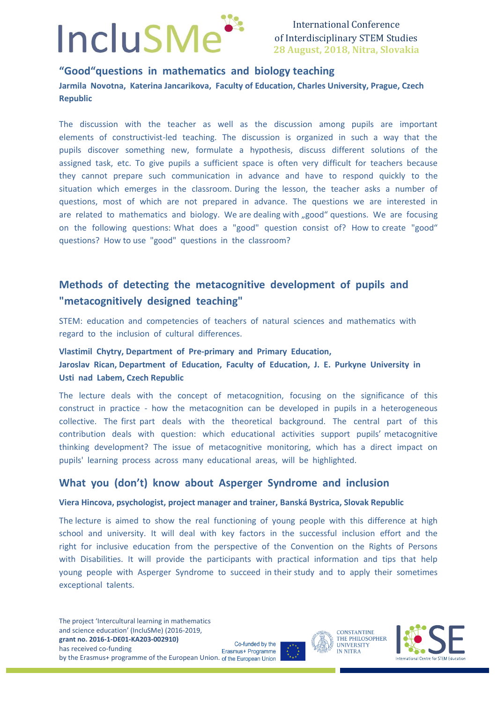

International Conference of Interdisciplinary STEM Studies **28 August, 2018, Nitra, Slovakia**

#### **"Good"questions in mathematics and biology teaching Jarmila Novotna, Katerina Jancarikova, Faculty of Education, Charles University, Prague, Czech Republic**

The discussion with the teacher as well as the discussion among pupils are important elements of constructivist-led teaching. The discussion is organized in such a way that the pupils discover something new, formulate a hypothesis, discuss different solutions of the assigned task, etc. To give pupils a sufficient space is often very difficult for teachers because they cannot prepare such communication in advance and have to respond quickly to the situation which emerges in the classroom. During the lesson, the teacher asks a number of questions, most of which are not prepared in advance. The questions we are interested in are related to mathematics and biology. We are dealing with "good" questions. We are focusing on the following questions: What does a "good" question consist of? How to create "good" questions? How to use "good" questions in the classroom?

### **Methods of detecting the metacognitive development of pupils and "metacognitively designed teaching"**

STEM: education and competencies of teachers of natural sciences and mathematics with regard to the inclusion of cultural differences.

#### **Vlastimil Chytry, Department of Pre-primary and Primary Education, Jaroslav Rican, Department of Education, Faculty of Education, J. E. Purkyne University in Usti nad Labem, Czech Republic**

The lecture deals with the concept of metacognition, focusing on the significance of this construct in practice - how the metacognition can be developed in pupils in a heterogeneous collective. The first part deals with the theoretical background. The central part of this contribution deals with question: which educational activities support pupils' metacognitive thinking development? The issue of metacognitive monitoring, which has a direct impact on pupils' learning process across many educational areas, will be highlighted.

#### **What you (don't) know about Asperger Syndrome and inclusion**

#### **Viera Hincova, psychologist, project manager and trainer, Banská Bystrica, Slovak Republic**

The lecture is aimed to show the real functioning of young people with this difference at high school and university. It will deal with key factors in the successful inclusion effort and the right for inclusive education from the perspective of the Convention on the Rights of Persons with Disabilities. It will provide the participants with practical information and tips that help young people with Asperger Syndrome to succeed in their study and to apply their sometimes exceptional talents.